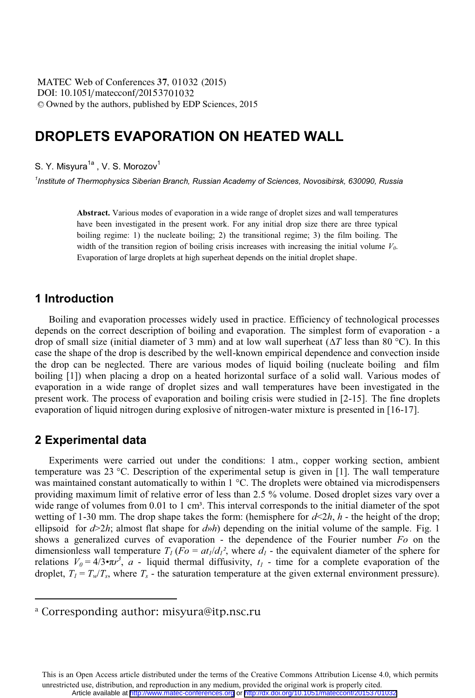DOI: 10.1051/matecconf/20153701032 -<sup>C</sup> Owned by the authors, published by EDP Sciences, 2015 MATEC Web of Conferences 37, 01032 (2015)

# **DROPLETS EVAPORATION ON HEATED WALL**

S. Y. Misyura<sup>1a</sup>, V. S. Morozov<sup>1</sup>

*1 Institute of Thermophysics Siberian Branch, Russian Academy of Sciences, Novosibirsk, 630090, Russia*

**Abstract.** Various modes of evaporation in a wide range of droplet sizes and wall temperatures have been investigated in the present work. For any initial drop size there are three typical boiling regime: 1) the nucleate boiling; 2) the transitional regime; 3) the film boiling. The width of the transition region of boiling crisis increases with increasing the initial volume  $V_0$ . Evaporation of large droplets at high superheat depends on the initial droplet shape.

### **1 Introduction**

 Boiling and evaporation processes widely used in practice. Efficiency of technological processes depends on the correct description of boiling and evaporation. The simplest form of evaporation - a drop of small size (initial diameter of 3 mm) and at low wall superheat (∆*Т* less than 80 °С). In this case the shape of the drop is described by the well-known empirical dependence and convection inside the drop can be neglected. There are various modes of liquid boiling (nucleate boiling and film boiling [1]) when placing a drop on a heated horizontal surface of a solid wall. Various modes of evaporation in a wide range of droplet sizes and wall temperatures have been investigated in the present work. The process of evaporation and boiling crisis were studied in [2-15]. The fine droplets evaporation of liquid nitrogen during explosive of nitrogen-water mixture is presented in [16-17].

### **2 Experimental data**

 $\overline{a}$ 

 Experiments were carried out under the conditions: 1 atm., copper working section, ambient temperature was 23 °C. Description of the experimental setup is given in [1]. The wall temperature was maintained constant automatically to within  $1 \degree C$ . The droplets were obtained via microdispensers providing maximum limit of relative error of less than 2.5 % volume. Dosed droplet sizes vary over a wide range of volumes from  $0.01$  to 1 cm<sup>3</sup>. This interval corresponds to the initial diameter of the spot wetting of 1-30 mm. The drop shape takes the form: (hemisphere for  $d \le 2h$ ,  $h$  - the height of the drop; ellipsoid for *d*>2*h*; almost flat shape for *d*»*h*) depending on the initial volume of the sample. Fig. 1 shows a generalized curves of evaporation - the dependence of the Fourier number *Fo* on the dimensionless wall temperature  $T_1$  ( $Fo = at_1/d_1^2$ , where  $d_1$  - the equivalent diameter of the sphere for relations  $V_0 = 4/3 \cdot \pi r^3$ , *a* - liquid thermal diffusivity,  $t_1$  - time for a complete evaporation of the droplet,  $T_1 = T_w/T_s$ , where  $T_s$  - the saturation temperature at the given external environment pressure).

a Corresponding author: misyura@itp.nsc.ru

This is an Open Access article distributed under the terms of the Creative Commons Attribution License 4.0, which permits unrestricted use, distribution, and reproduction in any medium, provided the original work is properly cited. Article available at <http://www.matec-conferences.org> or <http://dx.doi.org/10.1051/matecconf/20153701032>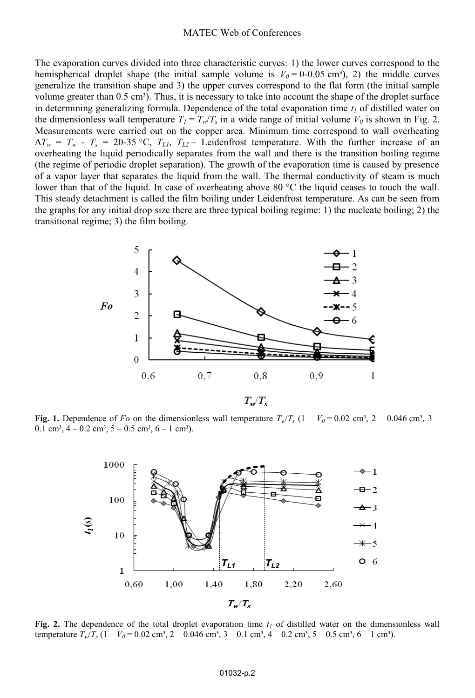#### MATEC Web of Conferences

The evaporation curves divided into three characteristic curves: 1) the lower curves correspond to the hemispherical droplet shape (the initial sample volume is  $V_0 = 0.005$  cm<sup>3</sup>), 2) the middle curves generalize the transition shape and 3) the upper curves correspond to the flat form (the initial sample volume greater than  $0.5 \text{ cm}^3$ ). Thus, it is necessary to take into account the shape of the droplet surface in determining generalizing formula. Dependence of the total evaporation time  $t_1$  of distilled water on the dimensionless wall temperature  $T_l = T_w/T_s$  in a wide range of initial volume  $V_0$  is shown in Fig. 2. Measurements were carried out on the copper area. Minimum time correspond to wall overheating  $\Delta T_w = T_w - T_s = 20{\text -}35$  °C,  $T_{L1}$ ,  $T_{L2}$  – Leidenfrost temperature. With the further increase of an overheating the liquid periodically separates from the wall and there is the transition boiling regime (the regime of periodic droplet separation). The growth of the evaporation time is caused by presence of a vapor layer that separates the liquid from the wall. The thermal conductivity of steam is much lower than that of the liquid. In case of overheating above 80 °C the liquid ceases to touch the wall. This steady detachment is called the film boiling under Leidenfrost temperature. As can be seen from the graphs for any initial drop size there are three typical boiling regime: 1) the nucleate boiling; 2) the transitional regime; 3) the film boiling.



 $T_{\nu}/T_{\nu}$ 

**Fig. 1.** Dependence of *Fo* on the dimensionless wall temperature  $T_w/T_s$  (1 –  $V_0$  = 0.02 cm<sup>3</sup>, 2 – 0.046 cm<sup>3</sup>, 3 – 0.1 cm<sup>3</sup>, 4 – 0.2 cm<sup>3</sup>, 5 – 0.5 cm<sup>3</sup>, 6 – 1 cm<sup>3</sup>).



**Fig. 2.** The dependence of the total droplet evaporation time  $t<sub>l</sub>$  of distilled water on the dimensionless wall temperature  $T_w/T_s$  (1 –  $V_0$  = 0.02 cm<sup>3</sup>, 2 – 0.046 cm<sup>3</sup>, 3 – 0.1 cm<sup>3</sup>, 4 – 0.2 cm<sup>3</sup>, 5 – 0.5 cm<sup>3</sup>, 6 – 1 cm<sup>3</sup>).